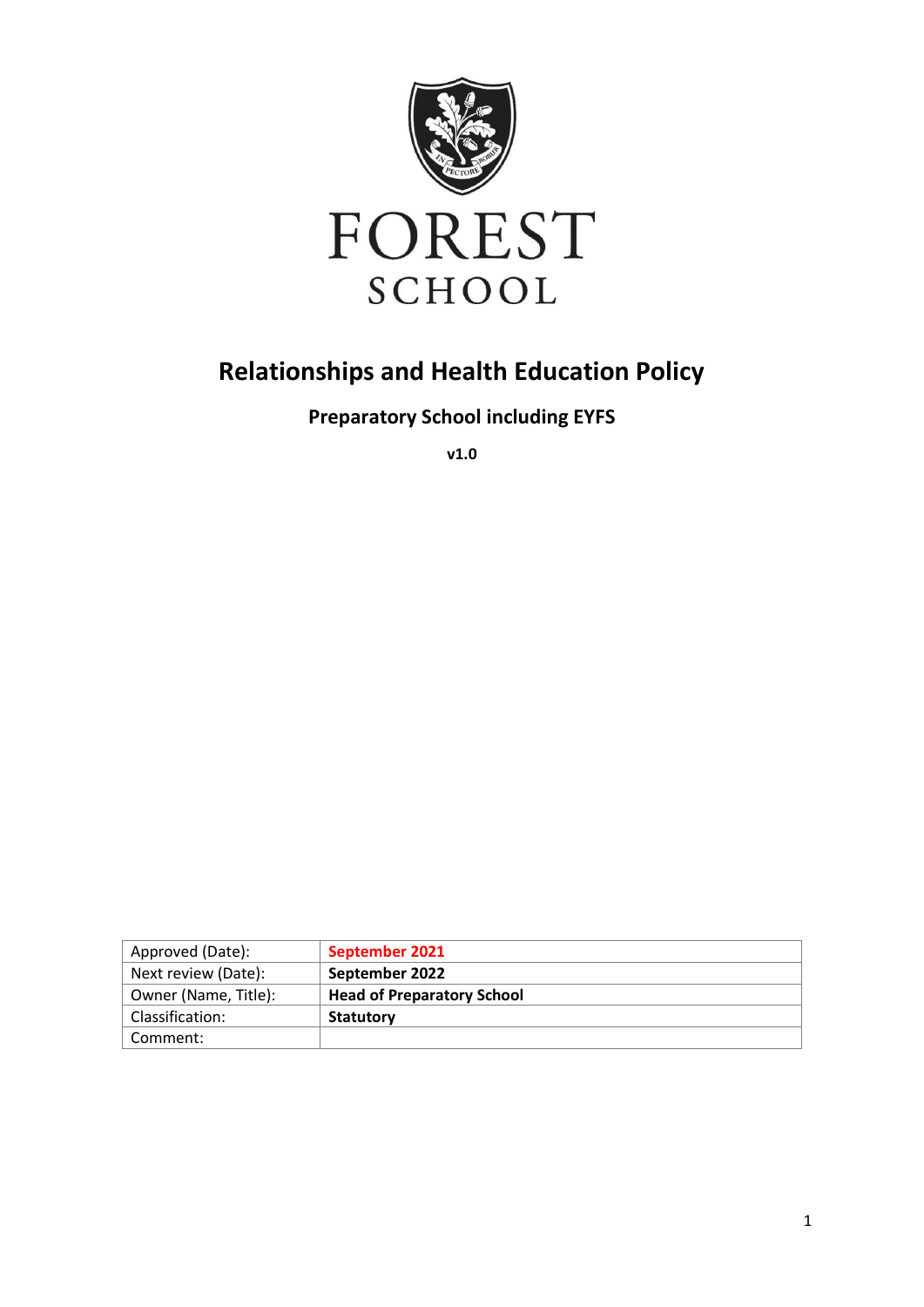

# **Relationships and Health Education Policy**

**Preparatory School including EYFS**

**v1.0**

| Approved (Date):     | September 2021                    |
|----------------------|-----------------------------------|
| Next review (Date):  | September 2022                    |
| Owner (Name, Title): | <b>Head of Preparatory School</b> |
| Classification:      | <b>Statutory</b>                  |
| Comment:             |                                   |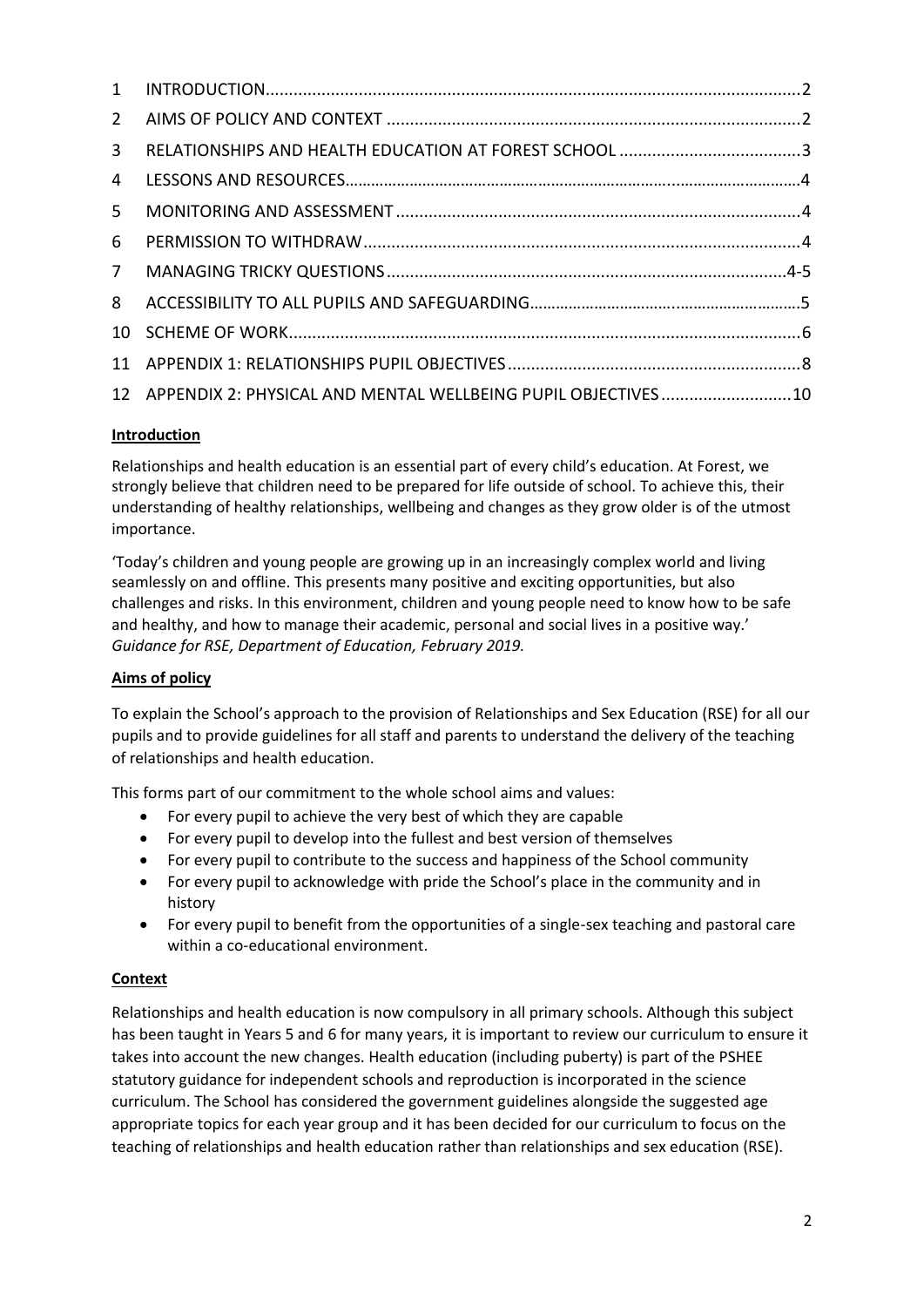| $2^{\circ}$    |                                                                 |  |
|----------------|-----------------------------------------------------------------|--|
| 3              |                                                                 |  |
| 4              |                                                                 |  |
| 5.             |                                                                 |  |
| 6              |                                                                 |  |
| 7 <sup>7</sup> |                                                                 |  |
| 8              |                                                                 |  |
|                |                                                                 |  |
|                |                                                                 |  |
|                | 12 APPENDIX 2: PHYSICAL AND MENTAL WELLBEING PUPIL OBJECTIVES10 |  |
|                |                                                                 |  |

#### **Introduction**

Relationships and health education is an essential part of every child's education. At Forest, we strongly believe that children need to be prepared for life outside of school. To achieve this, their understanding of healthy relationships, wellbeing and changes as they grow older is of the utmost importance.

'Today's children and young people are growing up in an increasingly complex world and living seamlessly on and offline. This presents many positive and exciting opportunities, but also challenges and risks. In this environment, children and young people need to know how to be safe and healthy, and how to manage their academic, personal and social lives in a positive way.' *Guidance for RSE, Department of Education, February 2019.* 

### **Aims of policy**

To explain the School's approach to the provision of Relationships and Sex Education (RSE) for all our pupils and to provide guidelines for all staff and parents to understand the delivery of the teaching of relationships and health education.

This forms part of our commitment to the whole school aims and values:

- For every pupil to achieve the very best of which they are capable
- For every pupil to develop into the fullest and best version of themselves
- For every pupil to contribute to the success and happiness of the School community
- For every pupil to acknowledge with pride the School's place in the community and in history
- For every pupil to benefit from the opportunities of a single-sex teaching and pastoral care within a co-educational environment.

#### **Context**

Relationships and health education is now compulsory in all primary schools. Although this subject has been taught in Years 5 and 6 for many years, it is important to review our curriculum to ensure it takes into account the new changes. Health education (including puberty) is part of the PSHEE statutory guidance for independent schools and reproduction is incorporated in the science curriculum. The School has considered the government guidelines alongside the suggested age appropriate topics for each year group and it has been decided for our curriculum to focus on the teaching of relationships and health education rather than relationships and sex education (RSE).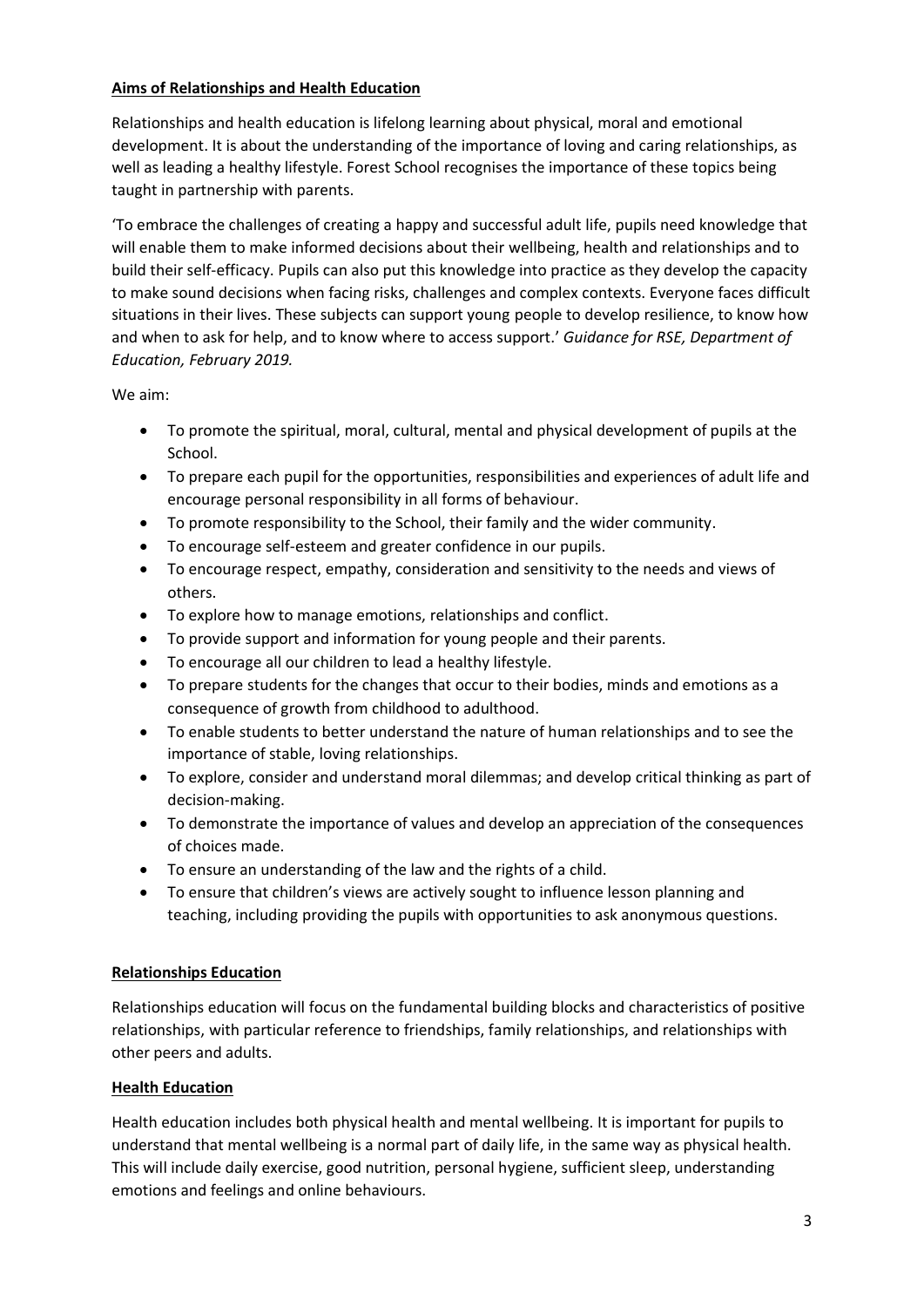#### **Aims of Relationships and Health Education**

Relationships and health education is lifelong learning about physical, moral and emotional development. It is about the understanding of the importance of loving and caring relationships, as well as leading a healthy lifestyle. Forest School recognises the importance of these topics being taught in partnership with parents.

'To embrace the challenges of creating a happy and successful adult life, pupils need knowledge that will enable them to make informed decisions about their wellbeing, health and relationships and to build their self-efficacy. Pupils can also put this knowledge into practice as they develop the capacity to make sound decisions when facing risks, challenges and complex contexts. Everyone faces difficult situations in their lives. These subjects can support young people to develop resilience, to know how and when to ask for help, and to know where to access support.' *Guidance for RSE, Department of Education, February 2019.*

We aim:

- To promote the spiritual, moral, cultural, mental and physical development of pupils at the School.
- To prepare each pupil for the opportunities, responsibilities and experiences of adult life and encourage personal responsibility in all forms of behaviour.
- To promote responsibility to the School, their family and the wider community.
- To encourage self-esteem and greater confidence in our pupils.
- To encourage respect, empathy, consideration and sensitivity to the needs and views of others.
- To explore how to manage emotions, relationships and conflict.
- To provide support and information for young people and their parents.
- To encourage all our children to lead a healthy lifestyle.
- To prepare students for the changes that occur to their bodies, minds and emotions as a consequence of growth from childhood to adulthood.
- To enable students to better understand the nature of human relationships and to see the importance of stable, loving relationships.
- To explore, consider and understand moral dilemmas; and develop critical thinking as part of decision-making.
- To demonstrate the importance of values and develop an appreciation of the consequences of choices made.
- To ensure an understanding of the law and the rights of a child.
- To ensure that children's views are actively sought to influence lesson planning and teaching, including providing the pupils with opportunities to ask anonymous questions.

#### **Relationships Education**

Relationships education will focus on the fundamental building blocks and characteristics of positive relationships, with particular reference to friendships, family relationships, and relationships with other peers and adults.

#### **Health Education**

Health education includes both physical health and mental wellbeing. It is important for pupils to understand that mental wellbeing is a normal part of daily life, in the same way as physical health. This will include daily exercise, good nutrition, personal hygiene, sufficient sleep, understanding emotions and feelings and online behaviours.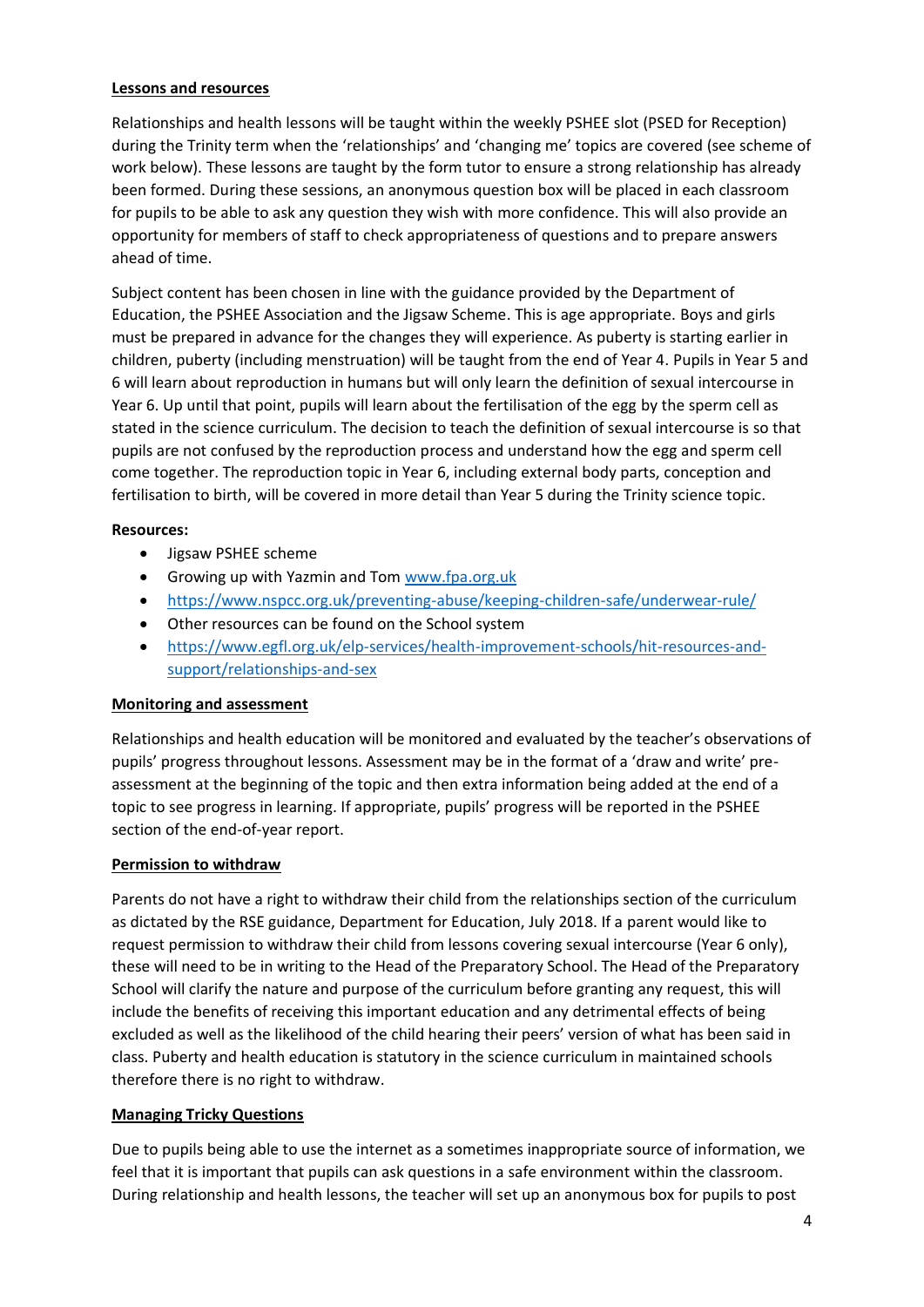#### **Lessons and resources**

Relationships and health lessons will be taught within the weekly PSHEE slot (PSED for Reception) during the Trinity term when the 'relationships' and 'changing me' topics are covered (see scheme of work below). These lessons are taught by the form tutor to ensure a strong relationship has already been formed. During these sessions, an anonymous question box will be placed in each classroom for pupils to be able to ask any question they wish with more confidence. This will also provide an opportunity for members of staff to check appropriateness of questions and to prepare answers ahead of time.

Subject content has been chosen in line with the guidance provided by the Department of Education, the PSHEE Association and the Jigsaw Scheme. This is age appropriate. Boys and girls must be prepared in advance for the changes they will experience. As puberty is starting earlier in children, puberty (including menstruation) will be taught from the end of Year 4. Pupils in Year 5 and 6 will learn about reproduction in humans but will only learn the definition of sexual intercourse in Year 6. Up until that point, pupils will learn about the fertilisation of the egg by the sperm cell as stated in the science curriculum. The decision to teach the definition of sexual intercourse is so that pupils are not confused by the reproduction process and understand how the egg and sperm cell come together. The reproduction topic in Year 6, including external body parts, conception and fertilisation to birth, will be covered in more detail than Year 5 during the Trinity science topic.

#### **Resources:**

- Jigsaw PSHEE scheme
- Growing up with Yazmin and Tom [www.fpa.org.uk](http://www.fpa.org.uk/)
- <https://www.nspcc.org.uk/preventing-abuse/keeping-children-safe/underwear-rule/>
- Other resources can be found on the School system
- [https://www.egfl.org.uk/elp-services/health-improvement-schools/hit-resources-and](https://www.egfl.org.uk/elp-services/health-improvement-schools/hit-resources-and-support/relationships-and-sex)[support/relationships-and-sex](https://www.egfl.org.uk/elp-services/health-improvement-schools/hit-resources-and-support/relationships-and-sex)

#### **Monitoring and assessment**

Relationships and health education will be monitored and evaluated by the teacher's observations of pupils' progress throughout lessons. Assessment may be in the format of a 'draw and write' preassessment at the beginning of the topic and then extra information being added at the end of a topic to see progress in learning. If appropriate, pupils' progress will be reported in the PSHEE section of the end-of-year report.

#### **Permission to withdraw**

Parents do not have a right to withdraw their child from the relationships section of the curriculum as dictated by the RSE guidance, Department for Education, July 2018. If a parent would like to request permission to withdraw their child from lessons covering sexual intercourse (Year 6 only), these will need to be in writing to the Head of the Preparatory School. The Head of the Preparatory School will clarify the nature and purpose of the curriculum before granting any request, this will include the benefits of receiving this important education and any detrimental effects of being excluded as well as the likelihood of the child hearing their peers' version of what has been said in class. Puberty and health education is statutory in the science curriculum in maintained schools therefore there is no right to withdraw.

#### **Managing Tricky Questions**

Due to pupils being able to use the internet as a sometimes inappropriate source of information, we feel that it is important that pupils can ask questions in a safe environment within the classroom. During relationship and health lessons, the teacher will set up an anonymous box for pupils to post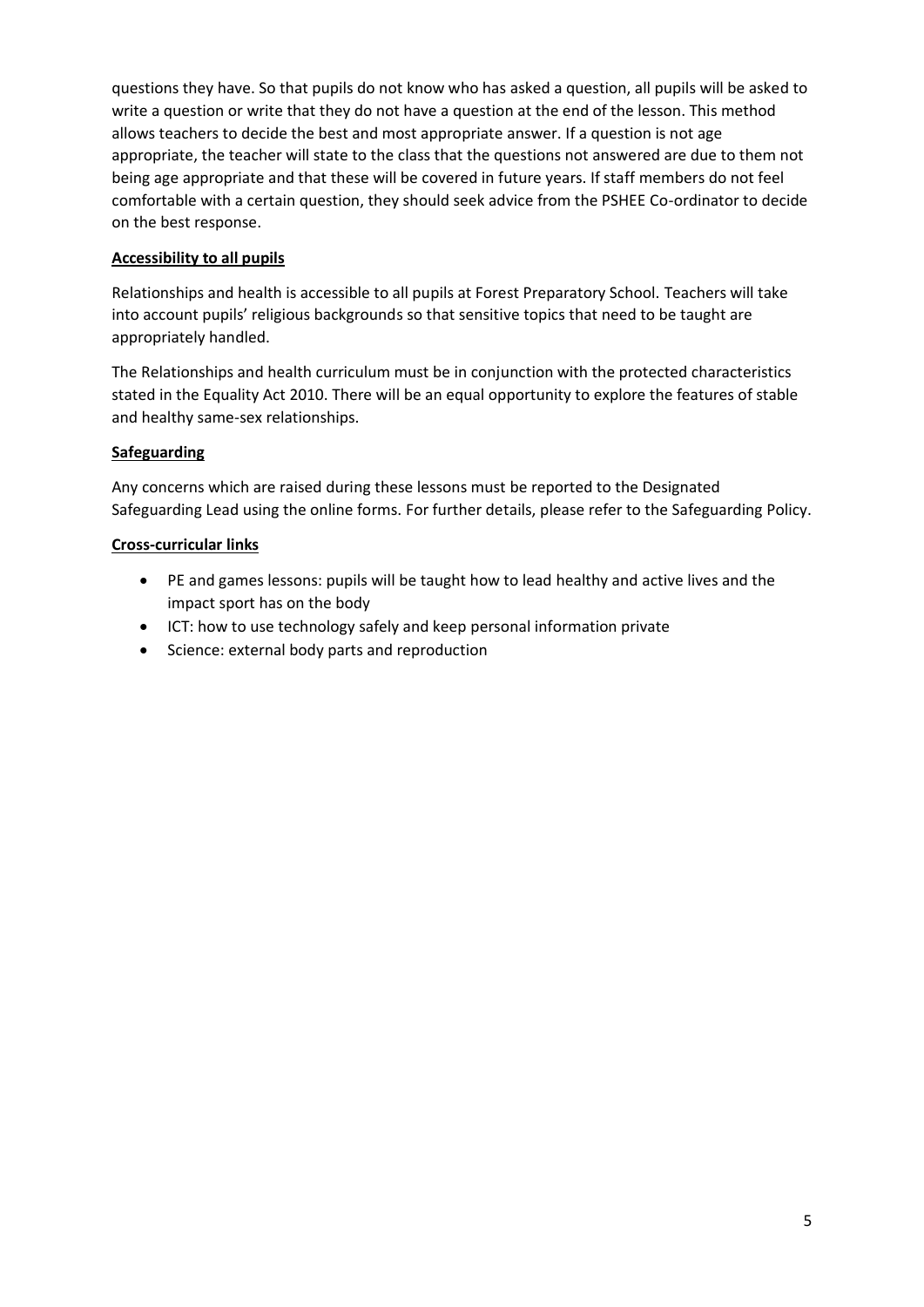questions they have. So that pupils do not know who has asked a question, all pupils will be asked to write a question or write that they do not have a question at the end of the lesson. This method allows teachers to decide the best and most appropriate answer. If a question is not age appropriate, the teacher will state to the class that the questions not answered are due to them not being age appropriate and that these will be covered in future years. If staff members do not feel comfortable with a certain question, they should seek advice from the PSHEE Co-ordinator to decide on the best response.

#### **Accessibility to all pupils**

Relationships and health is accessible to all pupils at Forest Preparatory School. Teachers will take into account pupils' religious backgrounds so that sensitive topics that need to be taught are appropriately handled.

The Relationships and health curriculum must be in conjunction with the protected characteristics stated in the Equality Act 2010. There will be an equal opportunity to explore the features of stable and healthy same-sex relationships.

#### **Safeguarding**

Any concerns which are raised during these lessons must be reported to the Designated Safeguarding Lead using the online forms. For further details, please refer to the Safeguarding Policy.

#### **Cross-curricular links**

- PE and games lessons: pupils will be taught how to lead healthy and active lives and the impact sport has on the body
- ICT: how to use technology safely and keep personal information private
- Science: external body parts and reproduction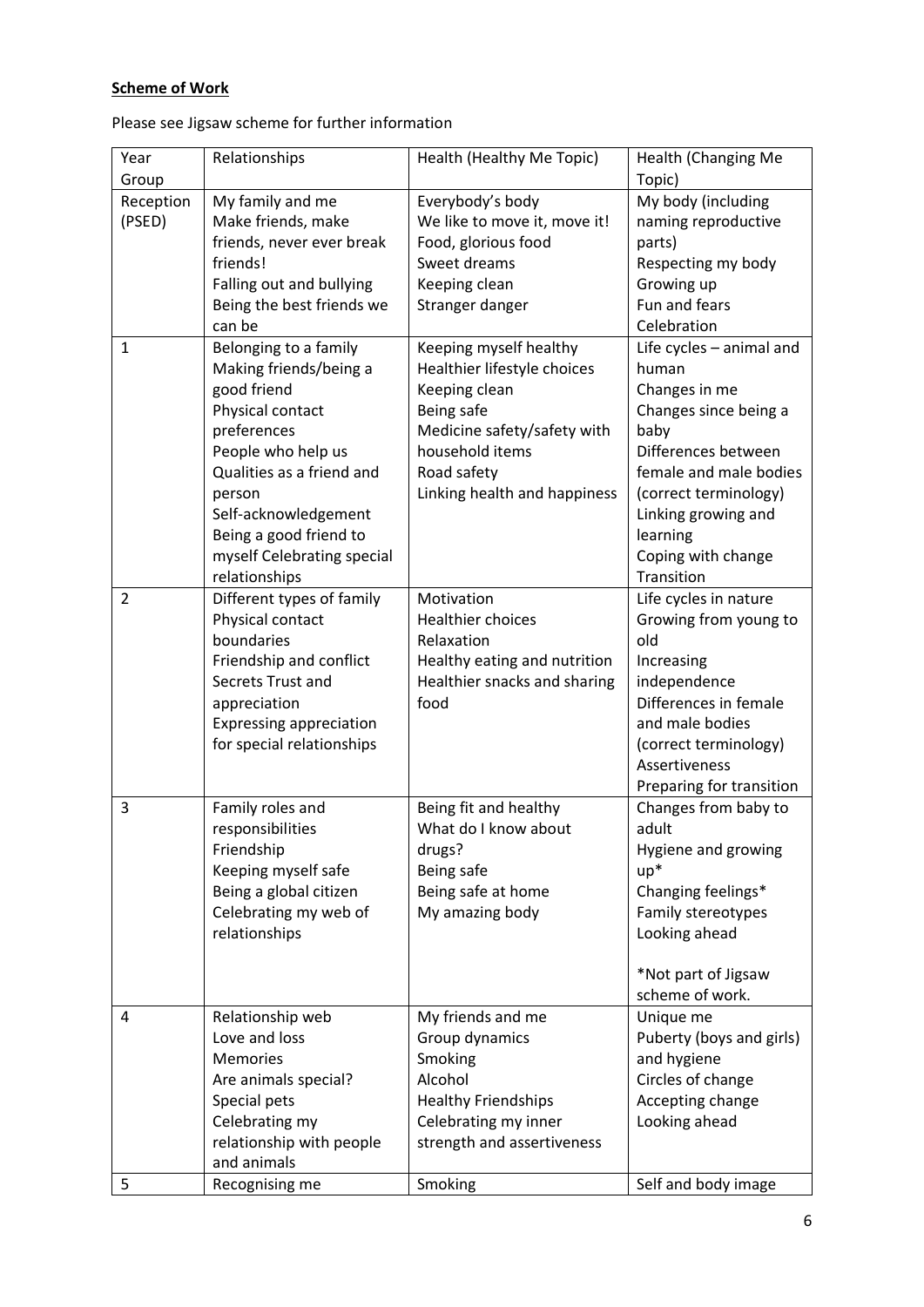## **Scheme of Work**

Please see Jigsaw scheme for further information

| Year           | Relationships                  | Health (Healthy Me Topic)    | Health (Changing Me      |
|----------------|--------------------------------|------------------------------|--------------------------|
| Group          |                                |                              | Topic)                   |
| Reception      | My family and me               | Everybody's body             | My body (including       |
| (PSED)         | Make friends, make             | We like to move it, move it! | naming reproductive      |
|                | friends, never ever break      | Food, glorious food          | parts)                   |
|                | friends!                       | Sweet dreams                 | Respecting my body       |
|                | Falling out and bullying       | Keeping clean                | Growing up               |
|                | Being the best friends we      | Stranger danger              | Fun and fears            |
|                | can be                         |                              | Celebration              |
| $\mathbf{1}$   | Belonging to a family          | Keeping myself healthy       | Life cycles - animal and |
|                | Making friends/being a         | Healthier lifestyle choices  | human                    |
|                | good friend                    | Keeping clean                | Changes in me            |
|                | Physical contact               | Being safe                   | Changes since being a    |
|                | preferences                    | Medicine safety/safety with  | baby                     |
|                | People who help us             | household items              | Differences between      |
|                | Qualities as a friend and      | Road safety                  | female and male bodies   |
|                | person                         | Linking health and happiness | (correct terminology)    |
|                | Self-acknowledgement           |                              | Linking growing and      |
|                | Being a good friend to         |                              | learning                 |
|                | myself Celebrating special     |                              | Coping with change       |
|                | relationships                  |                              | Transition               |
| $\overline{2}$ | Different types of family      | Motivation                   | Life cycles in nature    |
|                | Physical contact               | Healthier choices            | Growing from young to    |
|                | boundaries                     | Relaxation                   | old                      |
|                | Friendship and conflict        | Healthy eating and nutrition | Increasing               |
|                | Secrets Trust and              | Healthier snacks and sharing | independence             |
|                | appreciation                   | food                         | Differences in female    |
|                | <b>Expressing appreciation</b> |                              | and male bodies          |
|                | for special relationships      |                              | (correct terminology)    |
|                |                                |                              | Assertiveness            |
|                |                                |                              | Preparing for transition |
| 3              | Family roles and               | Being fit and healthy        | Changes from baby to     |
|                | responsibilities               | What do I know about         | adult                    |
|                | Friendship                     | drugs?                       | Hygiene and growing      |
|                | Keeping myself safe            | Being safe                   | $up*$                    |
|                | Being a global citizen         | Being safe at home           | Changing feelings*       |
|                | Celebrating my web of          | My amazing body              | Family stereotypes       |
|                | relationships                  |                              | Looking ahead            |
|                |                                |                              |                          |
|                |                                |                              | *Not part of Jigsaw      |
|                |                                |                              | scheme of work.          |
| 4              | Relationship web               | My friends and me            | Unique me                |
|                | Love and loss                  | Group dynamics               | Puberty (boys and girls) |
|                | <b>Memories</b>                | Smoking                      | and hygiene              |
|                | Are animals special?           | Alcohol                      | Circles of change        |
|                | Special pets                   | <b>Healthy Friendships</b>   | Accepting change         |
|                | Celebrating my                 | Celebrating my inner         | Looking ahead            |
|                | relationship with people       | strength and assertiveness   |                          |
|                | and animals                    |                              |                          |
| 5              | Recognising me                 | Smoking                      | Self and body image      |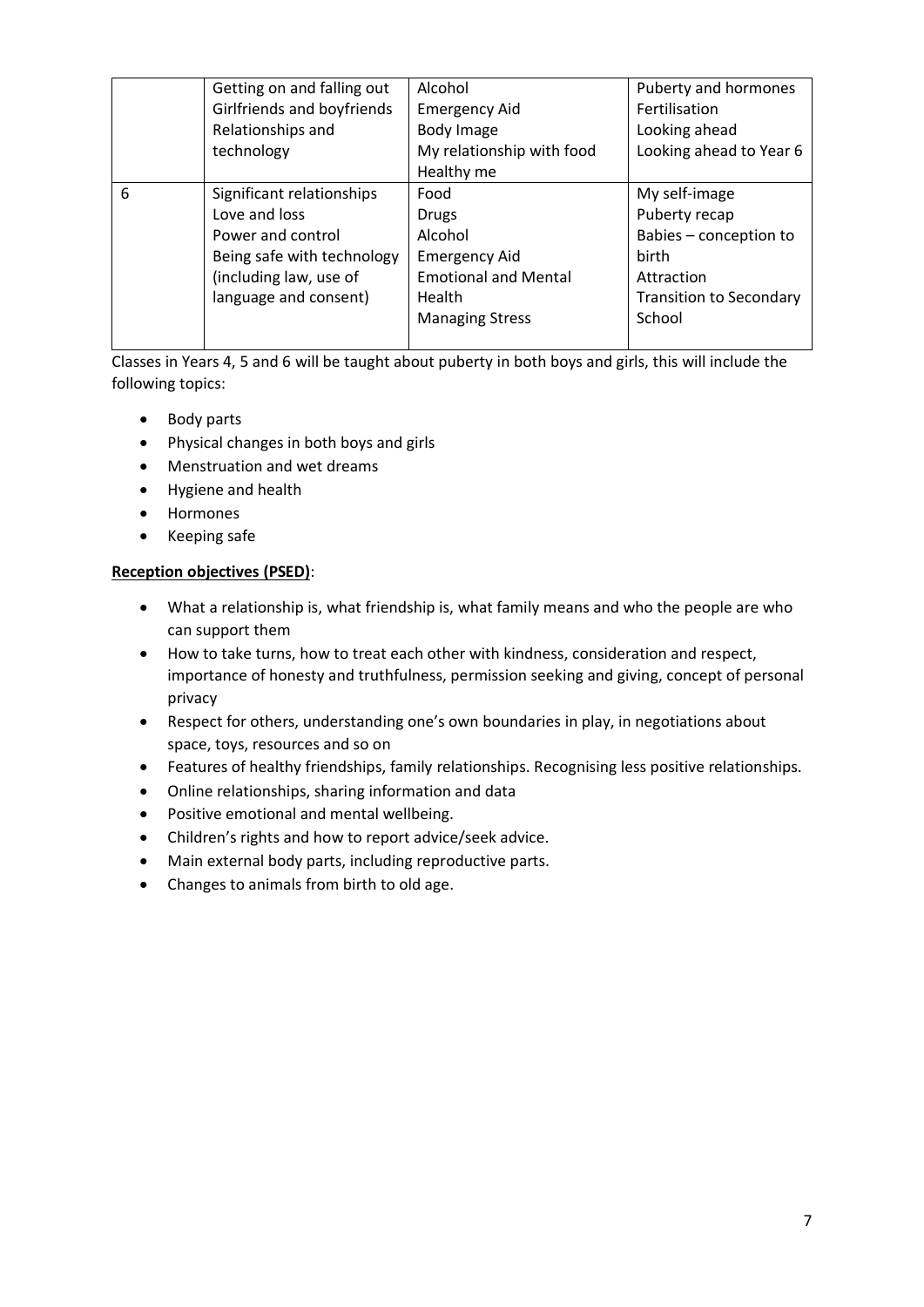|   | Getting on and falling out | Alcohol                     | Puberty and hormones           |
|---|----------------------------|-----------------------------|--------------------------------|
|   | Girlfriends and boyfriends | <b>Emergency Aid</b>        | Fertilisation                  |
|   | Relationships and          | Body Image                  | Looking ahead                  |
|   | technology                 | My relationship with food   | Looking ahead to Year 6        |
|   |                            | Healthy me                  |                                |
| 6 | Significant relationships  | Food                        | My self-image                  |
|   | Love and loss              | <b>Drugs</b>                | Puberty recap                  |
|   | Power and control          | Alcohol                     | Babies - conception to         |
|   | Being safe with technology | <b>Emergency Aid</b>        | <b>birth</b>                   |
|   | (including law, use of     | <b>Emotional and Mental</b> | Attraction                     |
|   | language and consent)      | Health                      | <b>Transition to Secondary</b> |
|   |                            | <b>Managing Stress</b>      | School                         |
|   |                            |                             |                                |

Classes in Years 4, 5 and 6 will be taught about puberty in both boys and girls, this will include the following topics:

- Body parts
- Physical changes in both boys and girls
- Menstruation and wet dreams
- Hygiene and health
- Hormones
- Keeping safe

#### **Reception objectives (PSED)**:

- What a relationship is, what friendship is, what family means and who the people are who can support them
- How to take turns, how to treat each other with kindness, consideration and respect, importance of honesty and truthfulness, permission seeking and giving, concept of personal privacy
- Respect for others, understanding one's own boundaries in play, in negotiations about space, toys, resources and so on
- Features of healthy friendships, family relationships. Recognising less positive relationships.
- Online relationships, sharing information and data
- Positive emotional and mental wellbeing.
- Children's rights and how to report advice/seek advice.
- Main external body parts, including reproductive parts.
- Changes to animals from birth to old age.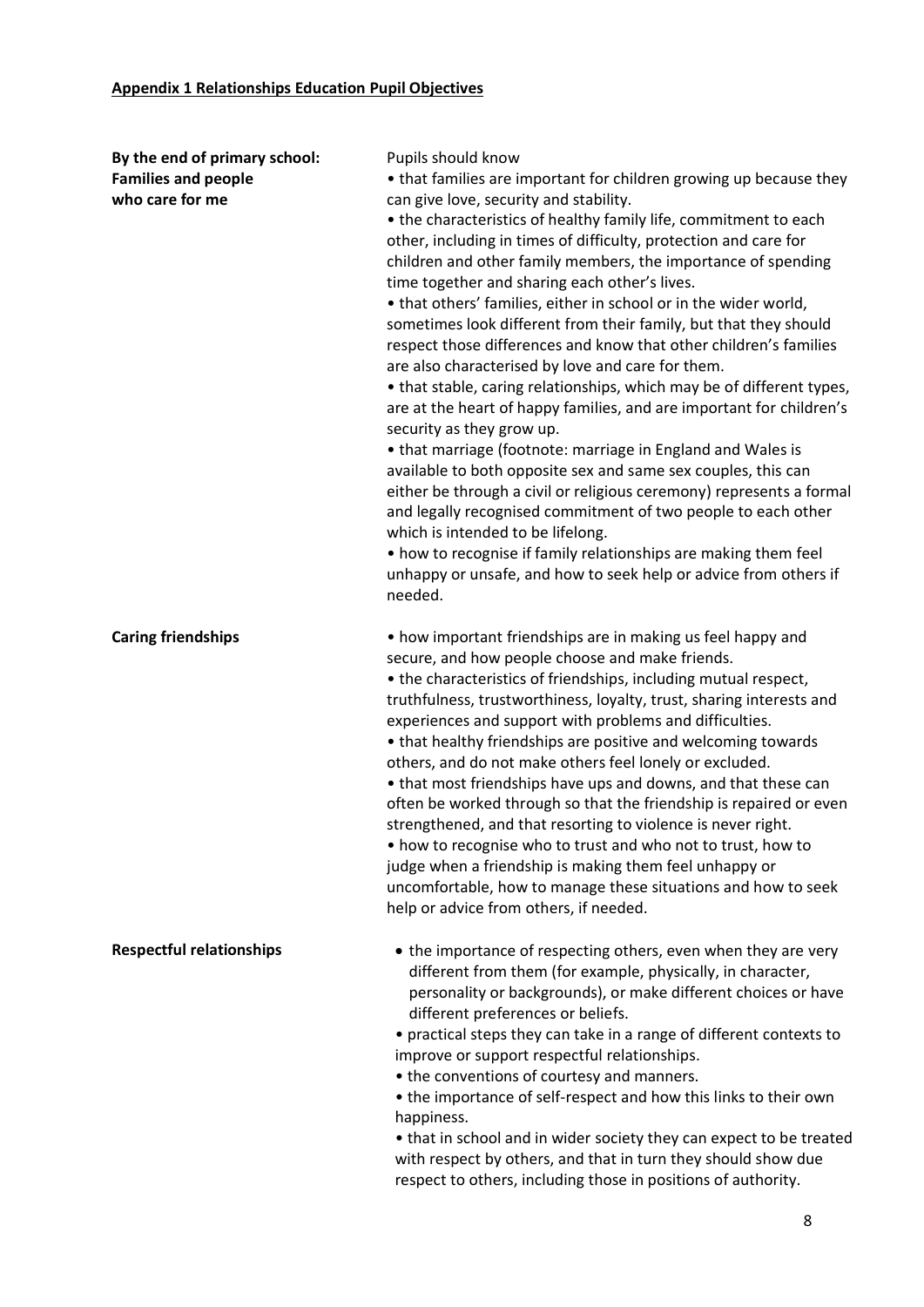| By the end of primary school:   | Pupils should know                                                    |
|---------------------------------|-----------------------------------------------------------------------|
| <b>Families and people</b>      | • that families are important for children growing up because they    |
| who care for me                 | can give love, security and stability.                                |
|                                 | • the characteristics of healthy family life, commitment to each      |
|                                 | other, including in times of difficulty, protection and care for      |
|                                 | children and other family members, the importance of spending         |
|                                 | time together and sharing each other's lives.                         |
|                                 | • that others' families, either in school or in the wider world,      |
|                                 | sometimes look different from their family, but that they should      |
|                                 | respect those differences and know that other children's families     |
|                                 | are also characterised by love and care for them.                     |
|                                 | • that stable, caring relationships, which may be of different types, |
|                                 | are at the heart of happy families, and are important for children's  |
|                                 | security as they grow up.                                             |
|                                 | • that marriage (footnote: marriage in England and Wales is           |
|                                 | available to both opposite sex and same sex couples, this can         |
|                                 | either be through a civil or religious ceremony) represents a formal  |
|                                 | and legally recognised commitment of two people to each other         |
|                                 | which is intended to be lifelong.                                     |
|                                 | • how to recognise if family relationships are making them feel       |
|                                 | unhappy or unsafe, and how to seek help or advice from others if      |
|                                 | needed.                                                               |
|                                 |                                                                       |
| <b>Caring friendships</b>       | • how important friendships are in making us feel happy and           |
|                                 | secure, and how people choose and make friends.                       |
|                                 | • the characteristics of friendships, including mutual respect,       |
|                                 | truthfulness, trustworthiness, loyalty, trust, sharing interests and  |
|                                 | experiences and support with problems and difficulties.               |
|                                 | • that healthy friendships are positive and welcoming towards         |
|                                 | others, and do not make others feel lonely or excluded.               |
|                                 | • that most friendships have ups and downs, and that these can        |
|                                 | often be worked through so that the friendship is repaired or even    |
|                                 | strengthened, and that resorting to violence is never right.          |
|                                 | how to recognise who to trust and who not to trust, how to            |
|                                 | judge when a friendship is making them feel unhappy or                |
|                                 | uncomfortable, how to manage these situations and how to seek         |
|                                 | help or advice from others, if needed.                                |
|                                 |                                                                       |
| <b>Respectful relationships</b> | • the importance of respecting others, even when they are very        |
|                                 | different from them (for example, physically, in character,           |
|                                 | personality or backgrounds), or make different choices or have        |
|                                 | different preferences or beliefs.                                     |
|                                 | • practical steps they can take in a range of different contexts to   |
|                                 | improve or support respectful relationships.                          |
|                                 | • the conventions of courtesy and manners.                            |
|                                 | • the importance of self-respect and how this links to their own      |
|                                 | happiness.                                                            |
|                                 | • that in school and in wider society they can expect to be treated   |
|                                 | with respect by others, and that in turn they should show due         |
|                                 | respect to others, including those in positions of authority.         |
|                                 |                                                                       |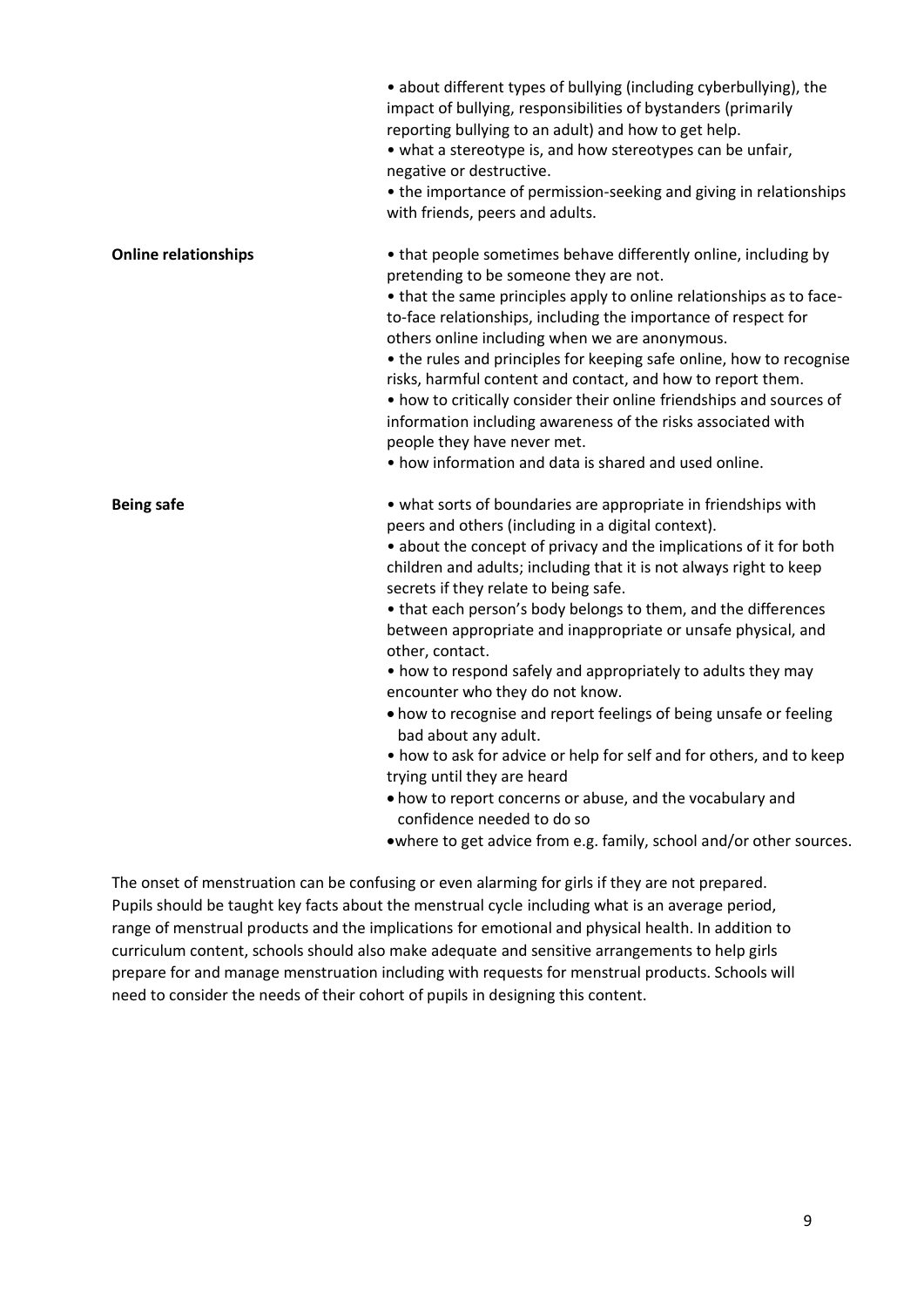|                             | • about different types of bullying (including cyberbullying), the<br>impact of bullying, responsibilities of bystanders (primarily<br>reporting bullying to an adult) and how to get help.<br>• what a stereotype is, and how stereotypes can be unfair,<br>negative or destructive.<br>• the importance of permission-seeking and giving in relationships<br>with friends, peers and adults.                                                                                                                                                                                                                                                                                                                                                                                                                                                                                                                                           |
|-----------------------------|------------------------------------------------------------------------------------------------------------------------------------------------------------------------------------------------------------------------------------------------------------------------------------------------------------------------------------------------------------------------------------------------------------------------------------------------------------------------------------------------------------------------------------------------------------------------------------------------------------------------------------------------------------------------------------------------------------------------------------------------------------------------------------------------------------------------------------------------------------------------------------------------------------------------------------------|
| <b>Online relationships</b> | • that people sometimes behave differently online, including by<br>pretending to be someone they are not.<br>• that the same principles apply to online relationships as to face-<br>to-face relationships, including the importance of respect for<br>others online including when we are anonymous.<br>• the rules and principles for keeping safe online, how to recognise<br>risks, harmful content and contact, and how to report them.<br>• how to critically consider their online friendships and sources of<br>information including awareness of the risks associated with<br>people they have never met.<br>• how information and data is shared and used online.                                                                                                                                                                                                                                                             |
| <b>Being safe</b>           | • what sorts of boundaries are appropriate in friendships with<br>peers and others (including in a digital context).<br>• about the concept of privacy and the implications of it for both<br>children and adults; including that it is not always right to keep<br>secrets if they relate to being safe.<br>• that each person's body belongs to them, and the differences<br>between appropriate and inappropriate or unsafe physical, and<br>other, contact.<br>• how to respond safely and appropriately to adults they may<br>encounter who they do not know.<br>• how to recognise and report feelings of being unsafe or feeling<br>bad about any adult.<br>• how to ask for advice or help for self and for others, and to keep<br>trying until they are heard<br>• how to report concerns or abuse, and the vocabulary and<br>confidence needed to do so<br>.where to get advice from e.g. family, school and/or other sources. |

The onset of menstruation can be confusing or even alarming for girls if they are not prepared. Pupils should be taught key facts about the menstrual cycle including what is an average period, range of menstrual products and the implications for emotional and physical health. In addition to curriculum content, schools should also make adequate and sensitive arrangements to help girls prepare for and manage menstruation including with requests for menstrual products. Schools will need to consider the needs of their cohort of pupils in designing this content.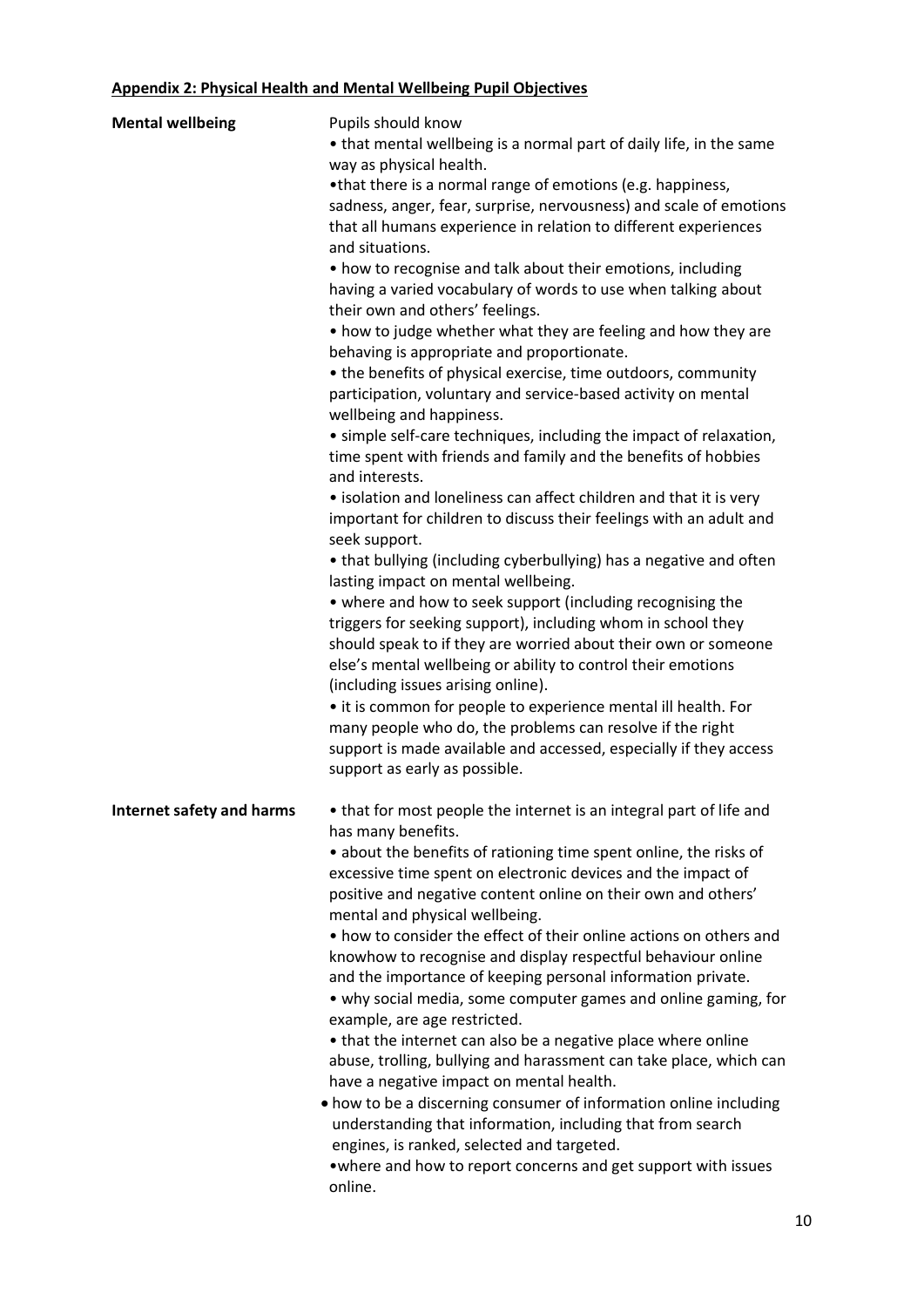# **Appendix 2: Physical Health and Mental Wellbeing Pupil Objectives**

| <b>Mental wellbeing</b>   | Pupils should know                                                  |
|---------------------------|---------------------------------------------------------------------|
|                           | • that mental wellbeing is a normal part of daily life, in the same |
|                           | way as physical health.                                             |
|                           | •that there is a normal range of emotions (e.g. happiness,          |
|                           | sadness, anger, fear, surprise, nervousness) and scale of emotions  |
|                           |                                                                     |
|                           | that all humans experience in relation to different experiences     |
|                           | and situations.                                                     |
|                           | • how to recognise and talk about their emotions, including         |
|                           | having a varied vocabulary of words to use when talking about       |
|                           | their own and others' feelings.                                     |
|                           | • how to judge whether what they are feeling and how they are       |
|                           | behaving is appropriate and proportionate.                          |
|                           | • the benefits of physical exercise, time outdoors, community       |
|                           | participation, voluntary and service-based activity on mental       |
|                           | wellbeing and happiness.                                            |
|                           |                                                                     |
|                           | • simple self-care techniques, including the impact of relaxation,  |
|                           | time spent with friends and family and the benefits of hobbies      |
|                           | and interests.                                                      |
|                           | • isolation and loneliness can affect children and that it is very  |
|                           | important for children to discuss their feelings with an adult and  |
|                           | seek support.                                                       |
|                           | • that bullying (including cyberbullying) has a negative and often  |
|                           | lasting impact on mental wellbeing.                                 |
|                           | • where and how to seek support (including recognising the          |
|                           | triggers for seeking support), including whom in school they        |
|                           |                                                                     |
|                           | should speak to if they are worried about their own or someone      |
|                           | else's mental wellbeing or ability to control their emotions        |
|                           | (including issues arising online).                                  |
|                           | • it is common for people to experience mental ill health. For      |
|                           | many people who do, the problems can resolve if the right           |
|                           | support is made available and accessed, especially if they access   |
|                           | support as early as possible.                                       |
|                           |                                                                     |
| Internet safety and harms | • that for most people the internet is an integral part of life and |
|                           | has many benefits.                                                  |
|                           | • about the benefits of rationing time spent online, the risks of   |
|                           | excessive time spent on electronic devices and the impact of        |
|                           | positive and negative content online on their own and others'       |
|                           | mental and physical wellbeing.                                      |
|                           |                                                                     |
|                           | • how to consider the effect of their online actions on others and  |
|                           | knowhow to recognise and display respectful behaviour online        |
|                           | and the importance of keeping personal information private.         |
|                           | • why social media, some computer games and online gaming, for      |
|                           | example, are age restricted.                                        |
|                           | • that the internet can also be a negative place where online       |
|                           | abuse, trolling, bullying and harassment can take place, which can  |
|                           | have a negative impact on mental health.                            |
|                           | • how to be a discerning consumer of information online including   |
|                           | understanding that information, including that from search          |
|                           |                                                                     |
|                           | engines, is ranked, selected and targeted.                          |
|                           | • where and how to report concerns and get support with issues      |
|                           | online.                                                             |